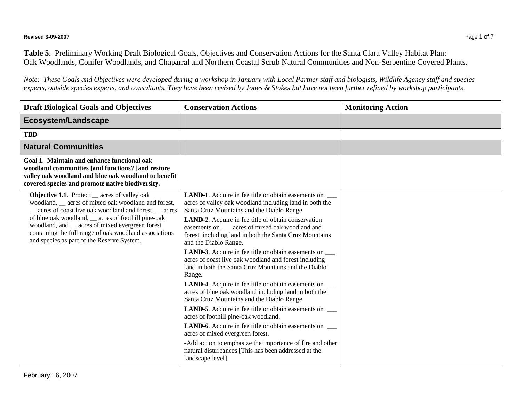## **Revised 3-09-2007** Page 1 of 7

**Table 5.** Preliminary Working Draft Biological Goals, Objectives and Conservation Actions for the Santa Clara Valley Habitat Plan: Oak Woodlands, Conifer Woodlands, and Chaparral and Northern Coastal Scrub Natural Communities and Non-Serpentine Covered Plants.

*Note: These Goals and Objectives were developed during a workshop in January with Local Partner staff and biologists, Wildlife Agency staff and species experts, outside species experts, and consultants. They have been revised by Jones & Stokes but have not been further refined by workshop participants.* 

| <b>Draft Biological Goals and Objectives</b>                                                                                                                                                                                                                                                                                                                                            | <b>Conservation Actions</b>                                                                                                                                                                                                                                                                                                                                                                                                                                                                                                                                                                                                                                                                                                                                                                                                                                                                                                                                                                                                                                                                          | <b>Monitoring Action</b> |
|-----------------------------------------------------------------------------------------------------------------------------------------------------------------------------------------------------------------------------------------------------------------------------------------------------------------------------------------------------------------------------------------|------------------------------------------------------------------------------------------------------------------------------------------------------------------------------------------------------------------------------------------------------------------------------------------------------------------------------------------------------------------------------------------------------------------------------------------------------------------------------------------------------------------------------------------------------------------------------------------------------------------------------------------------------------------------------------------------------------------------------------------------------------------------------------------------------------------------------------------------------------------------------------------------------------------------------------------------------------------------------------------------------------------------------------------------------------------------------------------------------|--------------------------|
| <b>Ecosystem/Landscape</b>                                                                                                                                                                                                                                                                                                                                                              |                                                                                                                                                                                                                                                                                                                                                                                                                                                                                                                                                                                                                                                                                                                                                                                                                                                                                                                                                                                                                                                                                                      |                          |
| <b>TBD</b>                                                                                                                                                                                                                                                                                                                                                                              |                                                                                                                                                                                                                                                                                                                                                                                                                                                                                                                                                                                                                                                                                                                                                                                                                                                                                                                                                                                                                                                                                                      |                          |
| <b>Natural Communities</b>                                                                                                                                                                                                                                                                                                                                                              |                                                                                                                                                                                                                                                                                                                                                                                                                                                                                                                                                                                                                                                                                                                                                                                                                                                                                                                                                                                                                                                                                                      |                          |
| Goal 1. Maintain and enhance functional oak<br>woodland communities [and functions? ]and restore<br>valley oak woodland and blue oak woodland to benefit<br>covered species and promote native biodiversity.                                                                                                                                                                            |                                                                                                                                                                                                                                                                                                                                                                                                                                                                                                                                                                                                                                                                                                                                                                                                                                                                                                                                                                                                                                                                                                      |                          |
| <b>Objective 1.1.</b> Protect _ acres of valley oak<br>woodland, __ acres of mixed oak woodland and forest,<br>_ acres of coast live oak woodland and forest, _ acres<br>of blue oak woodland, __ acres of foothill pine-oak<br>woodland, and _ acres of mixed evergreen forest<br>containing the full range of oak woodland associations<br>and species as part of the Reserve System. | LAND-1. Acquire in fee title or obtain easements on ______<br>acres of valley oak woodland including land in both the<br>Santa Cruz Mountains and the Diablo Range.<br>LAND-2. Acquire in fee title or obtain conservation<br>easements on acres of mixed oak woodland and<br>forest, including land in both the Santa Cruz Mountains<br>and the Diablo Range.<br><b>LAND-3</b> . Acquire in fee title or obtain easements on ______<br>acres of coast live oak woodland and forest including<br>land in both the Santa Cruz Mountains and the Diablo<br>Range.<br><b>LAND-4.</b> Acquire in fee title or obtain easements on ______<br>acres of blue oak woodland including land in both the<br>Santa Cruz Mountains and the Diablo Range.<br><b>LAND-5.</b> Acquire in fee title or obtain easements on ______<br>acres of foothill pine-oak woodland.<br><b>LAND-6.</b> Acquire in fee title or obtain easements on<br>acres of mixed evergreen forest.<br>-Add action to emphasize the importance of fire and other<br>natural disturbances [This has been addressed at the<br>landscape level]. |                          |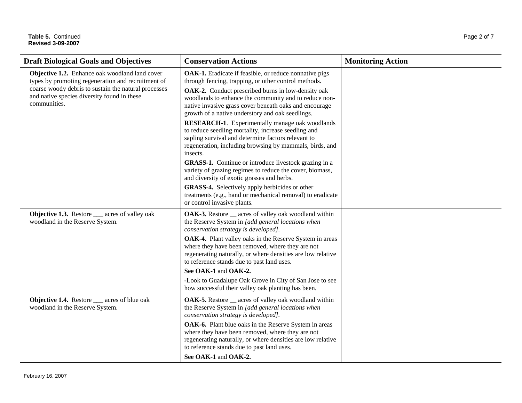## **Table 5.** Continued Page 2 of 7 **Revised 3-09-2007**

| <b>Draft Biological Goals and Objectives</b>                                                                                                                                                                                | <b>Conservation Actions</b>                                                                                                                                                                                                                | <b>Monitoring Action</b> |
|-----------------------------------------------------------------------------------------------------------------------------------------------------------------------------------------------------------------------------|--------------------------------------------------------------------------------------------------------------------------------------------------------------------------------------------------------------------------------------------|--------------------------|
| Objective 1.2. Enhance oak woodland land cover<br>types by promoting regeneration and recruitment of<br>coarse woody debris to sustain the natural processes<br>and native species diversity found in these<br>communities. | OAK-1. Eradicate if feasible, or reduce nonnative pigs<br>through fencing, trapping, or other control methods.                                                                                                                             |                          |
|                                                                                                                                                                                                                             | <b>OAK-2.</b> Conduct prescribed burns in low-density oak<br>woodlands to enhance the community and to reduce non-<br>native invasive grass cover beneath oaks and encourage<br>growth of a native understory and oak seedlings.           |                          |
|                                                                                                                                                                                                                             | <b>RESEARCH-1.</b> Experimentally manage oak woodlands<br>to reduce seedling mortality, increase seedling and<br>sapling survival and determine factors relevant to<br>regeneration, including browsing by mammals, birds, and<br>insects. |                          |
|                                                                                                                                                                                                                             | <b>GRASS-1.</b> Continue or introduce livestock grazing in a<br>variety of grazing regimes to reduce the cover, biomass,<br>and diversity of exotic grasses and herbs.                                                                     |                          |
|                                                                                                                                                                                                                             | GRASS-4. Selectively apply herbicides or other<br>treatments (e.g., hand or mechanical removal) to eradicate<br>or control invasive plants.                                                                                                |                          |
| <b>Objective 1.3.</b> Restore ___ acres of valley oak<br>woodland in the Reserve System.                                                                                                                                    | <b>OAK-3.</b> Restore __ acres of valley oak woodland within<br>the Reserve System in [add general locations when<br>conservation strategy is developed].                                                                                  |                          |
|                                                                                                                                                                                                                             | <b>OAK-4.</b> Plant valley oaks in the Reserve System in areas<br>where they have been removed, where they are not<br>regenerating naturally, or where densities are low relative<br>to reference stands due to past land uses.            |                          |
|                                                                                                                                                                                                                             | See OAK-1 and OAK-2.                                                                                                                                                                                                                       |                          |
|                                                                                                                                                                                                                             | -Look to Guadalupe Oak Grove in City of San Jose to see<br>how successful their valley oak planting has been.                                                                                                                              |                          |
| <b>Objective 1.4.</b> Restore <u>example</u> acres of blue oak<br>woodland in the Reserve System.                                                                                                                           | <b>OAK-5.</b> Restore __ acres of valley oak woodland within<br>the Reserve System in [add general locations when<br>conservation strategy is developed].                                                                                  |                          |

**OAK-6.** Plant blue oaks in the Reserve System in areas where they have been removed, where they are not regenerating naturally, or where densities are low relative

to reference stands due to past land uses.

**See OAK-1** and **OAK-2.**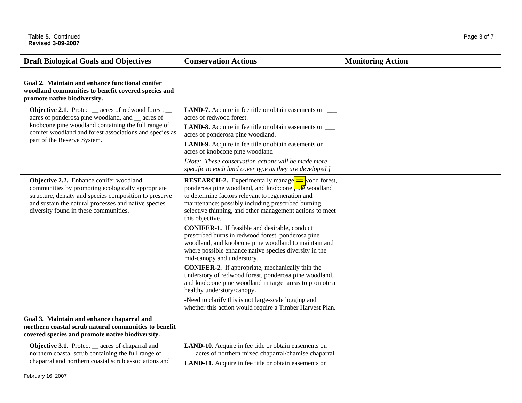| <b>Draft Biological Goals and Objectives</b>                                                                                                                                                                                                                     | <b>Conservation Actions</b>                                                                                                                                                                                                                                                                                                                                                                                                                                                                                                                                                                                                                                                                                                                                                                                                                                                                                                | <b>Monitoring Action</b> |
|------------------------------------------------------------------------------------------------------------------------------------------------------------------------------------------------------------------------------------------------------------------|----------------------------------------------------------------------------------------------------------------------------------------------------------------------------------------------------------------------------------------------------------------------------------------------------------------------------------------------------------------------------------------------------------------------------------------------------------------------------------------------------------------------------------------------------------------------------------------------------------------------------------------------------------------------------------------------------------------------------------------------------------------------------------------------------------------------------------------------------------------------------------------------------------------------------|--------------------------|
| Goal 2. Maintain and enhance functional conifer<br>woodland communities to benefit covered species and<br>promote native biodiversity.                                                                                                                           |                                                                                                                                                                                                                                                                                                                                                                                                                                                                                                                                                                                                                                                                                                                                                                                                                                                                                                                            |                          |
| <b>Objective 2.1.</b> Protect _ acres of redwood forest, _<br>acres of ponderosa pine woodland, and __ acres of<br>knobcone pine woodland containing the full range of<br>conifer woodland and forest associations and species as<br>part of the Reserve System. | <b>LAND-7.</b> Acquire in fee title or obtain easements on ____<br>acres of redwood forest.<br><b>LAND-8.</b> Acquire in fee title or obtain easements on ______<br>acres of ponderosa pine woodland.<br>acres of knobcone pine woodland<br>[Note: These conservation actions will be made more<br>specific to each land cover type as they are developed.]                                                                                                                                                                                                                                                                                                                                                                                                                                                                                                                                                                |                          |
| Objective 2.2. Enhance conifer woodland<br>communities by promoting ecologically appropriate<br>structure, density and species composition to preserve<br>and sustain the natural processes and native species<br>diversity found in these communities.          | <b>RESEARCH-2.</b> Experimentally ma $\frac{    }{    }$ redwood forest,<br>ponderosa pine woodland, and knobcone pine woodland<br>to determine factors relevant to regeneration and<br>maintenance; possibly including prescribed burning,<br>selective thinning, and other management actions to meet<br>this objective.<br><b>CONIFER-1.</b> If feasible and desirable, conduct<br>prescribed burns in redwood forest, ponderosa pine<br>woodland, and knobcone pine woodland to maintain and<br>where possible enhance native species diversity in the<br>mid-canopy and understory.<br><b>CONIFER-2.</b> If appropriate, mechanically thin the<br>understory of redwood forest, ponderosa pine woodland,<br>and knobcone pine woodland in target areas to promote a<br>healthy understory/canopy.<br>-Need to clarify this is not large-scale logging and<br>whether this action would require a Timber Harvest Plan. |                          |
| Goal 3. Maintain and enhance chaparral and<br>northern coastal scrub natural communities to benefit<br>covered species and promote native biodiversity.                                                                                                          |                                                                                                                                                                                                                                                                                                                                                                                                                                                                                                                                                                                                                                                                                                                                                                                                                                                                                                                            |                          |
| <b>Objective 3.1.</b> Protect __ acres of chaparral and<br>northern coastal scrub containing the full range of<br>chaparral and northern coastal scrub associations and                                                                                          | LAND-10. Acquire in fee title or obtain easements on<br>acres of northern mixed chaparral/chamise chaparral.<br><b>LAND-11.</b> Acquire in fee title or obtain easements on                                                                                                                                                                                                                                                                                                                                                                                                                                                                                                                                                                                                                                                                                                                                                |                          |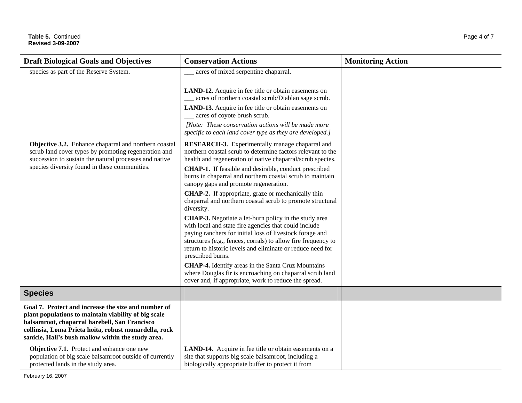| <b>Draft Biological Goals and Objectives</b>                                                                                                                                                                                                                                | <b>Conservation Actions</b>                                                                                                                                                                                                                                                                                                                                                                                                                                                                                                                                                                                                                                                                                                                                                                                                                                                                                                                                                                              | <b>Monitoring Action</b> |
|-----------------------------------------------------------------------------------------------------------------------------------------------------------------------------------------------------------------------------------------------------------------------------|----------------------------------------------------------------------------------------------------------------------------------------------------------------------------------------------------------------------------------------------------------------------------------------------------------------------------------------------------------------------------------------------------------------------------------------------------------------------------------------------------------------------------------------------------------------------------------------------------------------------------------------------------------------------------------------------------------------------------------------------------------------------------------------------------------------------------------------------------------------------------------------------------------------------------------------------------------------------------------------------------------|--------------------------|
| species as part of the Reserve System.                                                                                                                                                                                                                                      | acres of mixed serpentine chaparral.                                                                                                                                                                                                                                                                                                                                                                                                                                                                                                                                                                                                                                                                                                                                                                                                                                                                                                                                                                     |                          |
|                                                                                                                                                                                                                                                                             | LAND-12. Acquire in fee title or obtain easements on<br>__ acres of northern coastal scrub/Diablan sage scrub.<br>LAND-13. Acquire in fee title or obtain easements on<br>__ acres of coyote brush scrub.<br>[Note: These conservation actions will be made more<br>specific to each land cover type as they are developed.]                                                                                                                                                                                                                                                                                                                                                                                                                                                                                                                                                                                                                                                                             |                          |
| Objective 3.2. Enhance chaparral and northern coastal<br>scrub land cover types by promoting regeneration and<br>succession to sustain the natural processes and native<br>species diversity found in these communities.                                                    | RESEARCH-3. Experimentally manage chaparral and<br>northern coastal scrub to determine factors relevant to the<br>health and regeneration of native chaparral/scrub species.<br>CHAP-1. If feasible and desirable, conduct prescribed<br>burns in chaparral and northern coastal scrub to maintain<br>canopy gaps and promote regeneration.<br><b>CHAP-2.</b> If appropriate, graze or mechanically thin<br>chaparral and northern coastal scrub to promote structural<br>diversity.<br>CHAP-3. Negotiate a let-burn policy in the study area<br>with local and state fire agencies that could include<br>paying ranchers for initial loss of livestock forage and<br>structures (e.g., fences, corrals) to allow fire frequency to<br>return to historic levels and eliminate or reduce need for<br>prescribed burns.<br><b>CHAP-4.</b> Identify areas in the Santa Cruz Mountains<br>where Douglas fir is encroaching on chaparral scrub land<br>cover and, if appropriate, work to reduce the spread. |                          |
| <b>Species</b>                                                                                                                                                                                                                                                              |                                                                                                                                                                                                                                                                                                                                                                                                                                                                                                                                                                                                                                                                                                                                                                                                                                                                                                                                                                                                          |                          |
| Goal 7. Protect and increase the size and number of<br>plant populations to maintain viability of big scale<br>balsamroot, chaparral harebell, San Francisco<br>collinsia, Loma Prieta hoita, robust monardella, rock<br>sanicle, Hall's bush mallow within the study area. |                                                                                                                                                                                                                                                                                                                                                                                                                                                                                                                                                                                                                                                                                                                                                                                                                                                                                                                                                                                                          |                          |
| <b>Objective 7.1</b> . Protect and enhance one new<br>population of big scale balsamroot outside of currently<br>protected lands in the study area.                                                                                                                         | LAND-14. Acquire in fee title or obtain easements on a<br>site that supports big scale balsamroot, including a<br>biologically appropriate buffer to protect it from                                                                                                                                                                                                                                                                                                                                                                                                                                                                                                                                                                                                                                                                                                                                                                                                                                     |                          |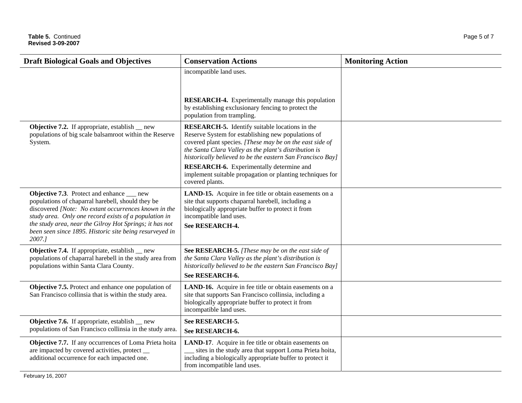| <b>Draft Biological Goals and Objectives</b>                                                                                                                                                                                                                                                                                                     | <b>Conservation Actions</b>                                                                                                                                                                                                                                                                    | <b>Monitoring Action</b> |
|--------------------------------------------------------------------------------------------------------------------------------------------------------------------------------------------------------------------------------------------------------------------------------------------------------------------------------------------------|------------------------------------------------------------------------------------------------------------------------------------------------------------------------------------------------------------------------------------------------------------------------------------------------|--------------------------|
|                                                                                                                                                                                                                                                                                                                                                  | incompatible land uses.                                                                                                                                                                                                                                                                        |                          |
|                                                                                                                                                                                                                                                                                                                                                  | <b>RESEARCH-4.</b> Experimentally manage this population<br>by establishing exclusionary fencing to protect the<br>population from trampling.                                                                                                                                                  |                          |
| <b>Objective 7.2.</b> If appropriate, establish _ new<br>populations of big scale balsamroot within the Reserve<br>System.                                                                                                                                                                                                                       | <b>RESEARCH-5.</b> Identify suitable locations in the<br>Reserve System for establishing new populations of<br>covered plant species. [These may be on the east side of<br>the Santa Clara Valley as the plant's distribution is<br>historically believed to be the eastern San Francisco Bay] |                          |
|                                                                                                                                                                                                                                                                                                                                                  | RESEARCH-6. Experimentally determine and<br>implement suitable propagation or planting techniques for<br>covered plants.                                                                                                                                                                       |                          |
| Objective 7.3. Protect and enhance ___ new<br>populations of chaparral harebell, should they be<br>discovered [Note: No extant occurrences known in the<br>study area. Only one record exists of a population in<br>the study area, near the Gilroy Hot Springs; it has not<br>been seen since 1895. Historic site being resurveyed in<br>2007.] | LAND-15. Acquire in fee title or obtain easements on a<br>site that supports chaparral harebell, including a<br>biologically appropriate buffer to protect it from<br>incompatible land uses.<br>See RESEARCH-4.                                                                               |                          |
| <b>Objective 7.4.</b> If appropriate, establish _ new<br>populations of chaparral harebell in the study area from<br>populations within Santa Clara County.                                                                                                                                                                                      | See RESEARCH-5. [These may be on the east side of<br>the Santa Clara Valley as the plant's distribution is<br>historically believed to be the eastern San Francisco Bay]<br>See RESEARCH-6.                                                                                                    |                          |
| Objective 7.5. Protect and enhance one population of<br>San Francisco collinsia that is within the study area.                                                                                                                                                                                                                                   | LAND-16. Acquire in fee title or obtain easements on a<br>site that supports San Francisco collinsia, including a<br>biologically appropriate buffer to protect it from<br>incompatible land uses.                                                                                             |                          |
| <b>Objective 7.6.</b> If appropriate, establish _ new<br>populations of San Francisco collinsia in the study area.                                                                                                                                                                                                                               | See RESEARCH-5.<br>See RESEARCH-6.                                                                                                                                                                                                                                                             |                          |
| Objective 7.7. If any occurrences of Loma Prieta hoita<br>are impacted by covered activities, protect __<br>additional occurrence for each impacted one.                                                                                                                                                                                         | LAND-17. Acquire in fee title or obtain easements on<br>sites in the study area that support Loma Prieta hoita,<br>including a biologically appropriate buffer to protect it<br>from incompatible land uses.                                                                                   |                          |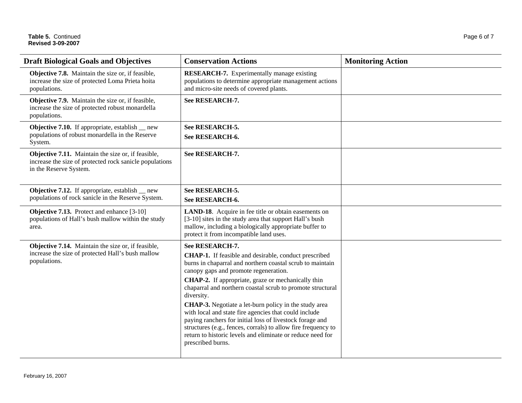| <b>Draft Biological Goals and Objectives</b>                                                                                            | <b>Conservation Actions</b>                                                                                                                                                                                                                                                                                                                                                                                                                                                                                                                                                                                                                                             | <b>Monitoring Action</b> |
|-----------------------------------------------------------------------------------------------------------------------------------------|-------------------------------------------------------------------------------------------------------------------------------------------------------------------------------------------------------------------------------------------------------------------------------------------------------------------------------------------------------------------------------------------------------------------------------------------------------------------------------------------------------------------------------------------------------------------------------------------------------------------------------------------------------------------------|--------------------------|
| <b>Objective 7.8.</b> Maintain the size or, if feasible,<br>increase the size of protected Loma Prieta hoita<br>populations.            | <b>RESEARCH-7.</b> Experimentally manage existing<br>populations to determine appropriate management actions<br>and micro-site needs of covered plants.                                                                                                                                                                                                                                                                                                                                                                                                                                                                                                                 |                          |
| Objective 7.9. Maintain the size or, if feasible,<br>increase the size of protected robust monardella<br>populations.                   | See RESEARCH-7.                                                                                                                                                                                                                                                                                                                                                                                                                                                                                                                                                                                                                                                         |                          |
| <b>Objective 7.10.</b> If appropriate, establish _ new<br>populations of robust monardella in the Reserve<br>System.                    | See RESEARCH-5.<br>See RESEARCH-6.                                                                                                                                                                                                                                                                                                                                                                                                                                                                                                                                                                                                                                      |                          |
| Objective 7.11. Maintain the size or, if feasible,<br>increase the size of protected rock sanicle populations<br>in the Reserve System. | See RESEARCH-7.                                                                                                                                                                                                                                                                                                                                                                                                                                                                                                                                                                                                                                                         |                          |
| <b>Objective 7.12.</b> If appropriate, establish _ new<br>populations of rock sanicle in the Reserve System.                            | See RESEARCH-5.<br>See RESEARCH-6.                                                                                                                                                                                                                                                                                                                                                                                                                                                                                                                                                                                                                                      |                          |
| Objective 7.13. Protect and enhance [3-10]<br>populations of Hall's bush mallow within the study<br>area.                               | LAND-18. Acquire in fee title or obtain easements on<br>[3-10] sites in the study area that support Hall's bush<br>mallow, including a biologically appropriate buffer to<br>protect it from incompatible land uses.                                                                                                                                                                                                                                                                                                                                                                                                                                                    |                          |
| Objective 7.14. Maintain the size or, if feasible,<br>increase the size of protected Hall's bush mallow<br>populations.                 | See RESEARCH-7.<br><b>CHAP-1.</b> If feasible and desirable, conduct prescribed<br>burns in chaparral and northern coastal scrub to maintain<br>canopy gaps and promote regeneration.<br><b>CHAP-2.</b> If appropriate, graze or mechanically thin<br>chaparral and northern coastal scrub to promote structural<br>diversity.<br><b>CHAP-3.</b> Negotiate a let-burn policy in the study area<br>with local and state fire agencies that could include<br>paying ranchers for initial loss of livestock forage and<br>structures (e.g., fences, corrals) to allow fire frequency to<br>return to historic levels and eliminate or reduce need for<br>prescribed burns. |                          |